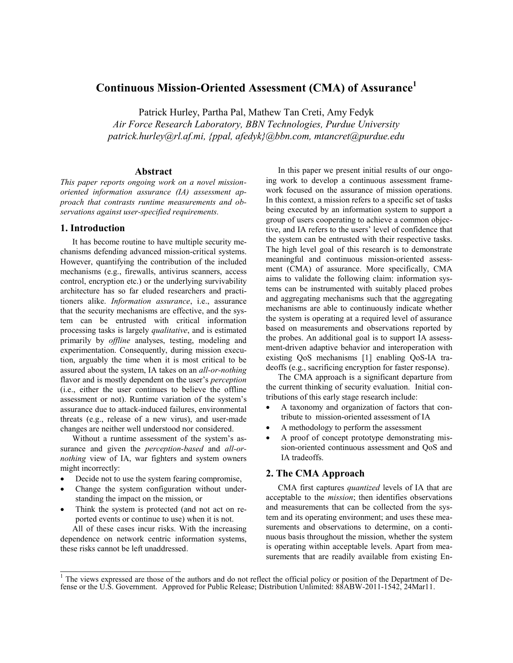# **Continuous Mission-Oriented Assessment (CMA) of Assurance<sup>1</sup>**

Patrick Hurley, Partha Pal, Mathew Tan Creti, Amy Fedyk

*Air Force Research Laboratory, BBN Technologies, Purdue University patrick.hurley@rl.af.mi, {ppal, afedyk}@bbn.com, mtancret@purdue.edu*

#### **Abstract**

*This paper reports ongoing work on a novel missionoriented information assurance (IA) assessment approach that contrasts runtime measurements and observations against user-specified requirements.* 

# **1. Introduction**

It has become routine to have multiple security mechanisms defending advanced mission-critical systems. However, quantifying the contribution of the included mechanisms (e.g., firewalls, antivirus scanners, access control, encryption etc.) or the underlying survivability architecture has so far eluded researchers and practitioners alike. *Information assurance*, i.e., assurance that the security mechanisms are effective, and the system can be entrusted with critical information processing tasks is largely *qualitative*, and is estimated primarily by *offline* analyses, testing, modeling and experimentation. Consequently, during mission execution, arguably the time when it is most critical to be assured about the system, IA takes on an *all-or-nothing* flavor and is mostly dependent on the user's *perception* (i.e., either the user continues to believe the offline assessment or not). Runtime variation of the system's assurance due to attack-induced failures, environmental threats (e.g., release of a new virus), and user-made changes are neither well understood nor considered.

Without a runtime assessment of the system's assurance and given the *perception-based* and *all-ornothing* view of IA, war fighters and system owners might incorrectly:

- Decide not to use the system fearing compromise,
- Change the system configuration without understanding the impact on the mission, or
- Think the system is protected (and not act on reported events or continue to use) when it is not.

All of these cases incur risks. With the increasing dependence on network centric information systems, these risks cannot be left unaddressed.

In this paper we present initial results of our ongoing work to develop a continuous assessment framework focused on the assurance of mission operations. In this context, a mission refers to a specific set of tasks being executed by an information system to support a group of users cooperating to achieve a common objective, and IA refers to the users' level of confidence that the system can be entrusted with their respective tasks. The high level goal of this research is to demonstrate meaningful and continuous mission-oriented assessment (CMA) of assurance. More specifically, CMA aims to validate the following claim: information systems can be instrumented with suitably placed probes and aggregating mechanisms such that the aggregating mechanisms are able to continuously indicate whether the system is operating at a required level of assurance based on measurements and observations reported by the probes. An additional goal is to support IA assessment-driven adaptive behavior and interoperation with existing QoS mechanisms [1] enabling QoS-IA tradeoffs (e.g., sacrificing encryption for faster response).

The CMA approach is a significant departure from the current thinking of security evaluation. Initial contributions of this early stage research include:

- A taxonomy and organization of factors that contribute to mission-oriented assessment of IA
- A methodology to perform the assessment
- A proof of concept prototype demonstrating mission-oriented continuous assessment and QoS and IA tradeoffs.

# **2. The CMA Approach**

CMA first captures *quantized* levels of IA that are acceptable to the *mission*; then identifies observations and measurements that can be collected from the system and its operating environment; and uses these measurements and observations to determine, on a continuous basis throughout the mission, whether the system is operating within acceptable levels. Apart from measurements that are readily available from existing En-

<sup>&</sup>lt;sup>1</sup> The views expressed are those of the authors and do not reflect the official policy or position of the Department of Defense or the U.S. Government. Approved for Public Release; Distribution Unlimited: 88ABW-2011-1542, 24Mar11.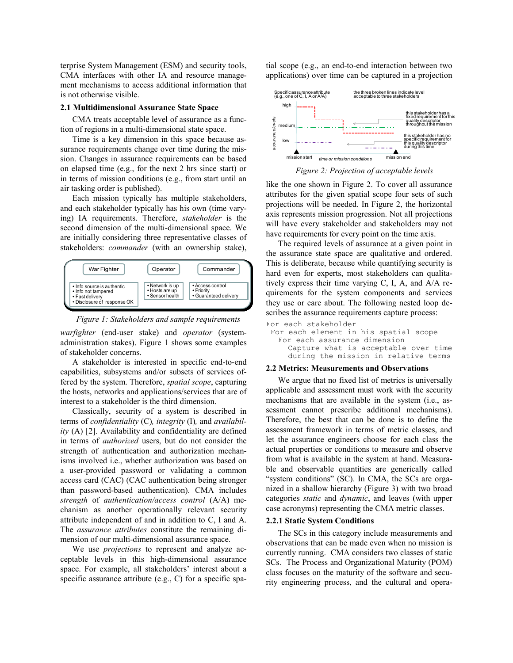terprise System Management (ESM) and security tools, CMA interfaces with other IA and resource management mechanisms to access additional information that is not otherwise visible.

#### **2.1 Multidimensional Assurance State Space**

CMA treats acceptable level of assurance as a function of regions in a multi-dimensional state space.

Time is a key dimension in this space because assurance requirements change over time during the mission. Changes in assurance requirements can be based on elapsed time (e.g., for the next 2 hrs since start) or in terms of mission conditions (e.g., from start until an air tasking order is published).

Each mission typically has multiple stakeholders, and each stakeholder typically has his own (time varying) IA requirements. Therefore, *stakeholder* is the second dimension of the multi-dimensional space. We are initially considering three representative classes of stakeholders: *commander* (with an ownership stake),



*Figure 1: Stakeholders and sample requirements*

*warfighter* (end-user stake) and *operator* (systemadministration stakes). Figure 1 shows some examples of stakeholder concerns.

A stakeholder is interested in specific end-to-end capabilities, subsystems and/or subsets of services offered by the system. Therefore, *spatial scope*, capturing the hosts, networks and applications/services that are of interest to a stakeholder is the third dimension.

Classically, security of a system is described in terms of *confidentiality* (C)*, integrity* (I)*,* and *availability* (A) [2]. Availability and confidentiality are defined in terms of *authorized* users, but do not consider the strength of authentication and authorization mechanisms involved i.e., whether authorization was based on a user-provided password or validating a common access card (CAC) (CAC authentication being stronger than password-based authentication). CMA includes *strength* of *authentication/access control* (A/A) mechanism as another operationally relevant security attribute independent of and in addition to C, I and A. The *assurance attributes* constitute the remaining dimension of our multi-dimensional assurance space.

We use *projections* to represent and analyze acceptable levels in this high-dimensional assurance space. For example, all stakeholders' interest about a specific assurance attribute (e.g., C) for a specific spatial scope (e.g., an end-to-end interaction between two applications) over time can be captured in a projection



*Figure 2: Projection of acceptable levels*

like the one shown in Figure 2. To cover all assurance attributes for the given spatial scope four sets of such projections will be needed. In Figure 2, the horizontal axis represents mission progression. Not all projections will have every stakeholder and stakeholders may not have requirements for every point on the time axis.

The required levels of assurance at a given point in the assurance state space are qualitative and ordered. This is deliberate, because while quantifying security is hard even for experts, most stakeholders can qualitatively express their time varying C, I, A, and A/A requirements for the system components and services they use or care about. The following nested loop describes the assurance requirements capture process:

```
For each stakeholder
For each element in his spatial scope
  For each assurance dimension
    Capture what is acceptable over time 
    during the mission in relative terms
```
#### **2.2 Metrics: Measurements and Observations**

We argue that no fixed list of metrics is universally applicable and assessment must work with the security mechanisms that are available in the system (i.e., assessment cannot prescribe additional mechanisms). Therefore, the best that can be done is to define the assessment framework in terms of metric classes, and let the assurance engineers choose for each class the actual properties or conditions to measure and observe from what is available in the system at hand. Measurable and observable quantities are generically called "system conditions" (SC). In CMA, the SCs are organized in a shallow hierarchy (Figure 3) with two broad categories *static* and *dynamic*, and leaves (with upper case acronyms) representing the CMA metric classes.

#### **2.2.1 Static System Conditions**

The SCs in this category include measurements and observations that can be made even when no mission is currently running. CMA considers two classes of static SCs. The Process and Organizational Maturity (POM) class focuses on the maturity of the software and security engineering process, and the cultural and opera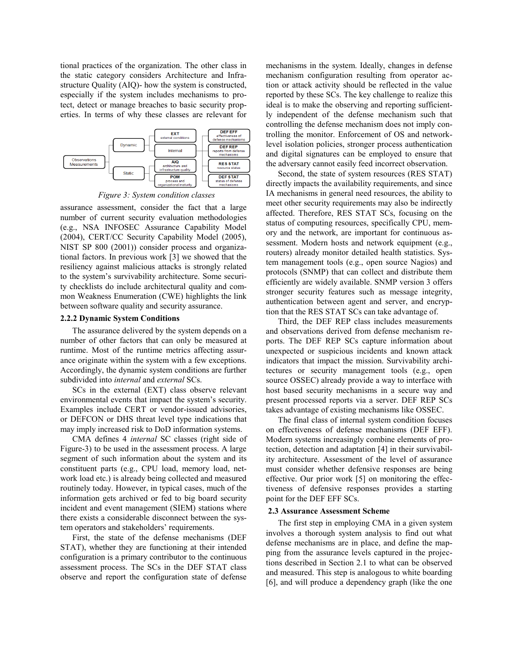tional practices of the organization. The other class in the static category considers Architecture and Infrastructure Quality (AIQ)- how the system is constructed, especially if the system includes mechanisms to protect, detect or manage breaches to basic security properties. In terms of why these classes are relevant for



*Figure 3: System condition classes*

assurance assessment, consider the fact that a large number of current security evaluation methodologies (e.g., NSA INFOSEC Assurance Capability Model (2004), CERT/CC Security Capability Model (2005), NIST SP 800 (2001)) consider process and organizational factors. In previous work [3] we showed that the resiliency against malicious attacks is strongly related to the system's survivability architecture. Some security checklists do include architectural quality and common Weakness Enumeration (CWE) highlights the link between software quality and security assurance.

#### **2.2.2 Dynamic System Conditions**

The assurance delivered by the system depends on a number of other factors that can only be measured at runtime. Most of the runtime metrics affecting assurance originate within the system with a few exceptions. Accordingly, the dynamic system conditions are further subdivided into *internal* and *external* SCs.

SCs in the external (EXT) class observe relevant environmental events that impact the system's security. Examples include CERT or vendor-issued advisories, or DEFCON or DHS threat level type indications that may imply increased risk to DoD information systems.

CMA defines 4 *internal* SC classes (right side of Figure-3) to be used in the assessment process. A large segment of such information about the system and its constituent parts (e.g., CPU load, memory load, network load etc.) is already being collected and measured routinely today. However, in typical cases, much of the information gets archived or fed to big board security incident and event management (SIEM) stations where there exists a considerable disconnect between the system operators and stakeholders' requirements.

First, the state of the defense mechanisms (DEF STAT), whether they are functioning at their intended configuration is a primary contributor to the continuous assessment process. The SCs in the DEF STAT class observe and report the configuration state of defense mechanisms in the system. Ideally, changes in defense mechanism configuration resulting from operator action or attack activity should be reflected in the value reported by these SCs. The key challenge to realize this ideal is to make the observing and reporting sufficiently independent of the defense mechanism such that controlling the defense mechanism does not imply controlling the monitor. Enforcement of OS and networklevel isolation policies, stronger process authentication and digital signatures can be employed to ensure that the adversary cannot easily feed incorrect observation.

Second, the state of system resources (RES STAT) directly impacts the availability requirements, and since IA mechanisms in general need resources, the ability to meet other security requirements may also be indirectly affected. Therefore, RES STAT SCs, focusing on the status of computing resources, specifically CPU, memory and the network, are important for continuous assessment. Modern hosts and network equipment (e.g., routers) already monitor detailed health statistics. System management tools (e.g., open source Nagios) and protocols (SNMP) that can collect and distribute them efficiently are widely available. SNMP version 3 offers stronger security features such as message integrity, authentication between agent and server, and encryption that the RES STAT SCs can take advantage of.

Third, the DEF REP class includes measurements and observations derived from defense mechanism reports. The DEF REP SCs capture information about unexpected or suspicious incidents and known attack indicators that impact the mission. Survivability architectures or security management tools (e.g., open source OSSEC) already provide a way to interface with host based security mechanisms in a secure way and present processed reports via a server. DEF REP SCs takes advantage of existing mechanisms like OSSEC.

The final class of internal system condition focuses on effectiveness of defense mechanisms (DEF EFF). Modern systems increasingly combine elements of protection, detection and adaptation [4] in their survivability architecture. Assessment of the level of assurance must consider whether defensive responses are being effective. Our prior work [5] on monitoring the effectiveness of defensive responses provides a starting point for the DEF EFF SCs.

#### **2.3 Assurance Assessment Scheme**

The first step in employing CMA in a given system involves a thorough system analysis to find out what defense mechanisms are in place, and define the mapping from the assurance levels captured in the projections described in Section 2.1 to what can be observed and measured. This step is analogous to white boarding [6], and will produce a dependency graph (like the one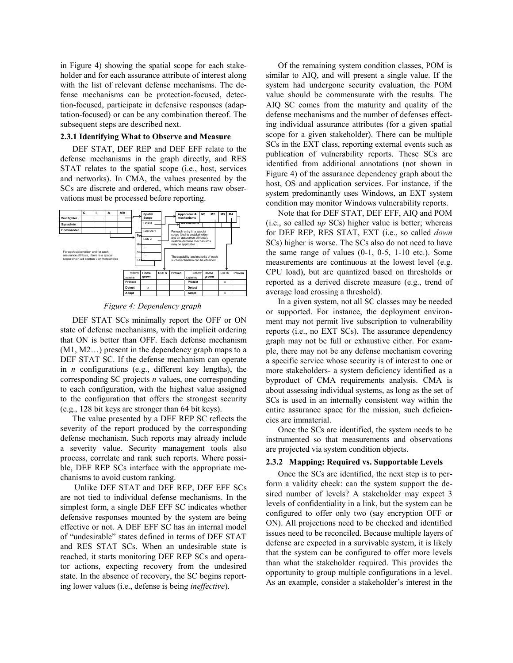in Figure 4) showing the spatial scope for each stakeholder and for each assurance attribute of interest along with the list of relevant defense mechanisms. The defense mechanisms can be protection-focused, detection-focused, participate in defensive responses (adaptation-focused) or can be any combination thereof. The subsequent steps are described next.

#### **2.3.1 Identifying What to Observe and Measure**

DEF STAT, DEF REP and DEF EFF relate to the defense mechanisms in the graph directly, and RES STAT relates to the spatial scope (i.e., host, services and networks). In CMA, the values presented by the SCs are discrete and ordered, which means raw observations must be processed before reporting.



*Figure 4: Dependency graph*

DEF STAT SCs minimally report the OFF or ON state of defense mechanisms, with the implicit ordering that ON is better than OFF. Each defense mechanism (M1, M2…) present in the dependency graph maps to a DEF STAT SC. If the defense mechanism can operate in *n* configurations (e.g., different key lengths), the corresponding SC projects *n* values, one corresponding to each configuration, with the highest value assigned to the configuration that offers the strongest security (e.g., 128 bit keys are stronger than 64 bit keys).

The value presented by a DEF REP SC reflects the severity of the report produced by the corresponding defense mechanism. Such reports may already include a severity value. Security management tools also process, correlate and rank such reports. Where possible, DEF REP SCs interface with the appropriate mechanisms to avoid custom ranking.

Unlike DEF STAT and DEF REP, DEF EFF SCs are not tied to individual defense mechanisms. In the simplest form, a single DEF EFF SC indicates whether defensive responses mounted by the system are being effective or not. A DEF EFF SC has an internal model of "undesirable" states defined in terms of DEF STAT and RES STAT SCs. When an undesirable state is reached, it starts monitoring DEF REP SCs and operator actions, expecting recovery from the undesired state. In the absence of recovery, the SC begins reporting lower values (i.e., defense is being *ineffective*).

Of the remaining system condition classes, POM is similar to AIQ, and will present a single value. If the system had undergone security evaluation, the POM value should be commensurate with the results. The AIQ SC comes from the maturity and quality of the defense mechanisms and the number of defenses effecting individual assurance attributes (for a given spatial scope for a given stakeholder). There can be multiple SCs in the EXT class, reporting external events such as publication of vulnerability reports. These SCs are identified from additional annotations (not shown in Figure 4) of the assurance dependency graph about the host, OS and application services. For instance, if the system predominantly uses Windows, an EXT system condition may monitor Windows vulnerability reports.

Note that for DEF STAT, DEF EFF, AIQ and POM (i.e., so called *up* SCs) higher value is better; whereas for DEF REP, RES STAT, EXT (i.e., so called *down* SCs) higher is worse. The SCs also do not need to have the same range of values  $(0-1, 0-5, 1-10)$  etc.). Some measurements are continuous at the lowest level (e.g. CPU load), but are quantized based on thresholds or reported as a derived discrete measure (e.g., trend of average load crossing a threshold).

In a given system, not all SC classes may be needed or supported. For instance, the deployment environment may not permit live subscription to vulnerability reports (i.e., no EXT SCs). The assurance dependency graph may not be full or exhaustive either. For example, there may not be any defense mechanism covering a specific service whose security is of interest to one or more stakeholders- a system deficiency identified as a byproduct of CMA requirements analysis. CMA is about assessing individual systems, as long as the set of SCs is used in an internally consistent way within the entire assurance space for the mission, such deficiencies are immaterial.

Once the SCs are identified, the system needs to be instrumented so that measurements and observations are projected via system condition objects.

#### **2.3.2 Mapping: Required vs. Supportable Levels**

Once the SCs are identified, the next step is to perform a validity check: can the system support the desired number of levels? A stakeholder may expect 3 levels of confidentiality in a link, but the system can be configured to offer only two (say encryption OFF or ON). All projections need to be checked and identified issues need to be reconciled. Because multiple layers of defense are expected in a survivable system, it is likely that the system can be configured to offer more levels than what the stakeholder required. This provides the opportunity to group multiple configurations in a level. As an example, consider a stakeholder's interest in the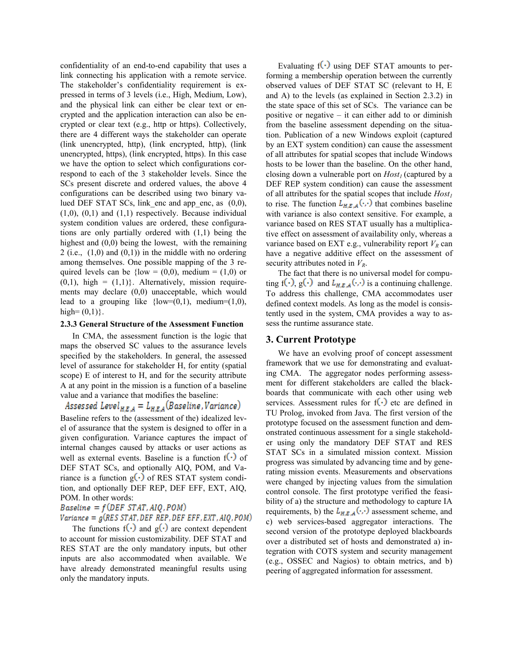confidentiality of an end-to-end capability that uses a link connecting his application with a remote service. The stakeholder's confidentiality requirement is expressed in terms of 3 levels (i.e., High, Medium, Low), and the physical link can either be clear text or encrypted and the application interaction can also be encrypted or clear text (e.g., http or https). Collectively, there are 4 different ways the stakeholder can operate (link unencrypted, http), (link encrypted, http), (link unencrypted, https), (link encrypted, https). In this case we have the option to select which configurations correspond to each of the 3 stakeholder levels. Since the SCs present discrete and ordered values, the above 4 configurations can be described using two binary valued DEF STAT SCs, link enc and app\_enc, as  $(0,0)$ ,  $(1,0)$ ,  $(0,1)$  and  $(1,1)$  respectively. Because individual system condition values are ordered, these configurations are only partially ordered with (1,1) being the highest and (0,0) being the lowest, with the remaining 2 (i.e.,  $(1,0)$  and  $(0,1)$ ) in the middle with no ordering among themselves. One possible mapping of the 3 required levels can be  $\{low = (0,0), medium = (1,0) \text{ or }$  $(0,1)$ , high =  $(1,1)$ }. Alternatively, mission requirements may declare (0,0) unacceptable, which would lead to a grouping like  $\{low=(0,1), \text{ medium}=(1,0),\}$ high=  $(0,1)$ .

#### **2.3.3 General Structure of the Assessment Function**

In CMA, the assessment function is the logic that maps the observed SC values to the assurance levels specified by the stakeholders. In general, the assessed level of assurance for stakeholder H, for entity (spatial scope) E of interest to H, and for the security attribute A at any point in the mission is a function of a baseline value and a variance that modifies the baseline:

Assessed Level<sub>H,E,A</sub> =  $L_{H,E,A}$ (Baseline, Variance) Baseline refers to the (assessment of the) idealized level of assurance that the system is designed to offer in a given configuration. Variance captures the impact of internal changes caused by attacks or user actions as well as external events. Baseline is a function  $f(\cdot)$  of DEF STAT SCs, and optionally AIQ, POM, and Variance is a function  $g(\cdot)$  of RES STAT system condition, and optionally DEF REP, DEF EFF, EXT, AIQ, POM. In other words:<br>Baseline =  $f(DEF STAT, AIQ, POM)$ 

 $Variance = g(RES \, STATE, DEF \, REF \, DEF \, EFFECT \, EXT, AIQ, POM)$ 

The functions  $f(\cdot)$  and  $g(\cdot)$  are context dependent to account for mission customizability. DEF STAT and RES STAT are the only mandatory inputs, but other inputs are also accommodated when available. We have already demonstrated meaningful results using only the mandatory inputs.

Evaluating  $f(\cdot)$  using DEF STAT amounts to performing a membership operation between the currently observed values of DEF STAT SC (relevant to H, E and A) to the levels (as explained in Section 2.3.2) in the state space of this set of SCs. The variance can be positive or negative – it can either add to or diminish from the baseline assessment depending on the situation. Publication of a new Windows exploit (captured by an EXT system condition) can cause the assessment of all attributes for spatial scopes that include Windows hosts to be lower than the baseline. On the other hand, closing down a vulnerable port on *Host1* (captured by a DEF REP system condition) can cause the assessment of all attributes for the spatial scopes that include *Host<sup>1</sup>* to rise. The function  $L_{H,E,A}(\cdot,\cdot)$  that combines baseline with variance is also context sensitive. For example, a variance based on RES STAT usually has a multiplicative effect on assessment of availability only, whereas a variance based on EXT e.g., vulnerability report  $V_R$  can have a negative additive effect on the assessment of security attributes noted in *VR*.

The fact that there is no universal model for computing f( $\cdot$ ), g( $\cdot$ ) and  $L_{H,E,A}(\cdot,\cdot)$  is a continuing challenge. To address this challenge, CMA accommodates user defined context models. As long as the model is consistently used in the system, CMA provides a way to assess the runtime assurance state.

# **3. Current Prototype**

We have an evolving proof of concept assessment framework that we use for demonstrating and evaluating CMA. The aggregator nodes performing assessment for different stakeholders are called the blackboards that communicate with each other using web services. Assessment rules for  $f(\cdot)$  etc are defined in TU Prolog, invoked from Java. The first version of the prototype focused on the assessment function and demonstrated continuous assessment for a single stakeholder using only the mandatory DEF STAT and RES STAT SCs in a simulated mission context. Mission progress was simulated by advancing time and by generating mission events. Measurements and observations were changed by injecting values from the simulation control console. The first prototype verified the feasibility of a) the structure and methodology to capture IA requirements, b) the  $L_{H,E,A}(\cdot,\cdot)$  assessment scheme, and c) web services-based aggregator interactions. The second version of the prototype deployed blackboards over a distributed set of hosts and demonstrated a) integration with COTS system and security management (e.g., OSSEC and Nagios) to obtain metrics, and b) peering of aggregated information for assessment.